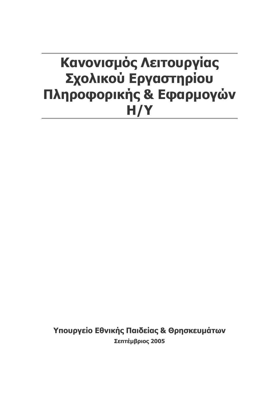# Κανονισμός Λειτουργίας Σχολικού Εργαστηρίου Πληροφορικής & Εφαρμογών  $H/Y$

Υπουργείο Εθνικής Παιδείας & Θρησκευμάτων Σεπτέμβριος 2005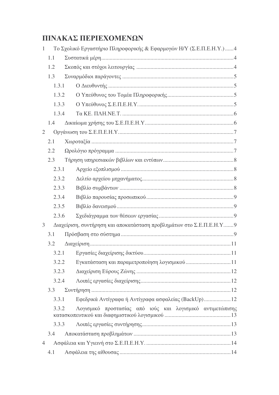# ΠΙΝΑΚΑΣ ΠΕΡΙΕΧΟΜΕΝΩΝ

| $\mathbf{1}$   | Το Σχολικό Εργαστήριο Πληροφορικής & Εφαρμογών Η/Υ (Σ.Ε.Π.Ε.Η.Υ.)4 |                                                                     |  |  |  |  |
|----------------|--------------------------------------------------------------------|---------------------------------------------------------------------|--|--|--|--|
|                | 1.1                                                                |                                                                     |  |  |  |  |
|                | 1.2                                                                |                                                                     |  |  |  |  |
|                | 1.3                                                                |                                                                     |  |  |  |  |
|                | 1.3.1                                                              |                                                                     |  |  |  |  |
|                | 1.3.2                                                              |                                                                     |  |  |  |  |
|                | 1.3.3                                                              |                                                                     |  |  |  |  |
|                | 1.3.4                                                              |                                                                     |  |  |  |  |
|                | 1.4                                                                |                                                                     |  |  |  |  |
| 2              |                                                                    |                                                                     |  |  |  |  |
|                | 2.1                                                                |                                                                     |  |  |  |  |
|                | 2.2                                                                |                                                                     |  |  |  |  |
|                | 2.3                                                                |                                                                     |  |  |  |  |
|                | 2.3.1                                                              |                                                                     |  |  |  |  |
|                | 2.3.2                                                              |                                                                     |  |  |  |  |
|                | 2.3.3                                                              |                                                                     |  |  |  |  |
|                | 2.3.4                                                              |                                                                     |  |  |  |  |
|                | 2.3.5                                                              |                                                                     |  |  |  |  |
|                | 2.3.6                                                              |                                                                     |  |  |  |  |
| 3              |                                                                    | Διαχείριση, συντήρηση και αποκατάσταση προβλημάτων στο Σ.Ε.Π.Ε.Η.Υ9 |  |  |  |  |
|                | 3.1                                                                |                                                                     |  |  |  |  |
|                | 3.2                                                                |                                                                     |  |  |  |  |
|                |                                                                    |                                                                     |  |  |  |  |
|                | 3.2.2                                                              |                                                                     |  |  |  |  |
|                | 3.2.3                                                              |                                                                     |  |  |  |  |
|                | 3.2.4                                                              |                                                                     |  |  |  |  |
|                | 3.3                                                                |                                                                     |  |  |  |  |
|                | 3.3.1                                                              | Εφεδρικά Αντίγραφα ή Αντίγραφα ασφαλείας (BackUp)12                 |  |  |  |  |
| 3.3.2          |                                                                    | Λογισμικό προστασίας από ιούς και λογισμικό αντιμετώπισης           |  |  |  |  |
|                | 3.3.3                                                              |                                                                     |  |  |  |  |
|                | 3.4                                                                |                                                                     |  |  |  |  |
| $\overline{4}$ |                                                                    |                                                                     |  |  |  |  |
|                | 4.1                                                                |                                                                     |  |  |  |  |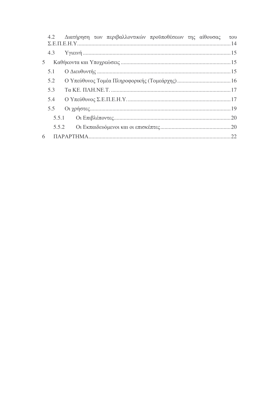|                |     | 4.2 Διατήρηση των περιβαλλοντικών προϋποθέσεων της αίθουσας | $\tau$ <sup>o</sup> |
|----------------|-----|-------------------------------------------------------------|---------------------|
|                |     |                                                             |                     |
| 5 <sup>5</sup> |     |                                                             |                     |
|                | 5.1 |                                                             |                     |
|                | 5.2 |                                                             |                     |
|                | 5.3 |                                                             |                     |
|                | 5.4 | $O$ Υπεύθυνος Σ.Ε.Π.Ε.Η.Υ.                                  |                     |
|                | 5.5 |                                                             |                     |
|                |     |                                                             |                     |
|                |     |                                                             |                     |
| 6              |     |                                                             |                     |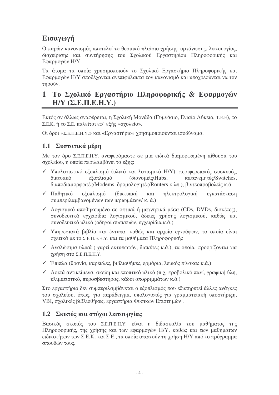# Εισαγωγή

Ο παρών κανονισμός αποτελεί το θεσμικό πλαίσιο χρήσης, οργάνωσης, λειτουργίας, διαγείοισης και συντήρησης του Σχολικού Εργαστηρίου Πληροφορικής και Εφαρμογών Η/Υ.

Τα άτομα τα οποία χρησιμοποιούν το Σχολικό Εργαστήριο Πληροφορικής και Εφαρμογών Η/Υ αποδέχονται ανεπιφύλακτα τον κανονισμό και υποχρεούνται να τον τηρούν.

# 1 Το Σχολικό Εργαστήριο Πληροφορικής & Εφαρμογών  $H/Y$  ( $\Sigma$ ,  $E$ ,  $\Pi$ ,  $E$ ,  $H$ ,  $Y$ .)

Εκτός αν άλλως αναφέρεται, η Σχολική Μονάδα (Γυμνάσιο, Ενιαίο Λύκειο, Τ.Ε.Ε), το Σ.Ε.Κ. ή το Σ.Ε. καλείται εφ' εξής «σχολείο».

Οι όροι «Σ.Ε.Π.Ε.Η.Υ.» και «Εργαστήριο» γρησιμοποιούνται ισοδύναμα.

# 1.1 Συστατικά μέρη

Με τον όρο Σ.Ε.Π.Ε.Η.Υ. αναφερόμαστε σε μια ειδικά διαμορφωμένη αίθουσα του σγολείου, η οποία περιλαμβάνει τα εξής:

- V Υπολογιστικό εξοπλισμό (υλικό και λογισμικό H/Y), περιφερειακές συσκευές, δικτυακό εξοπλισμό (διανομείς/Hubs, κατανεμητές/Switches. διαποδιαμορφωτές/Modems, δρομολογητές/Routers κ.λπ.), βιντεοπροβολείς κ.ά.
- ν Παθητικό εξοπλισμό **(δικτυακή** ηλεκτρολογική ενκατάσταση  $\kappa \alpha \iota$ συμπεριλαμβανομένων των ικριωμάτων/ κ. ά.)
- ► Λογισμικό αποθηκευμένο σε οπτικά ή μαγνητικά μέσα (CDs, DVDs, δισκέτες), συνοδευτικά εγχειρίδια λογισμικού, άδειες χρήσης λογισμικού, καθώς και συνοδευτικό υλικό (οδηγοί συσκευών, εγγειρίδια κ.ά.)
- ν Υπηρεσιακά βιβλία και έντυπα, καθώς και αρχεία εγγράφων, τα οποία είναι σχετικά με το Σ.Ε.Π.Ε.Η.Υ. και τα μαθήματα Πληροφορικής
- ν Αναλώσιμα υλικά ( χαρτί εκτυπωτών, δισκέτες κ.ά.), τα οποία προορίζονται για χρήση στο Σ.Ε.Π.Ε.Η.Υ.
- ν Έπιπλα (θρανία, καρέκλες, βιβλιοθήκες, ερμάρια, λευκός πίνακας κ.ά.)
- $\checkmark$  Λοιπά αντικείμενα, σκεύη και εποπτικό υλικό (π.χ. προβολικό πανί, γραφική ύλη, κλιματιστικό, πυροσβεστήρας, κάδοι απορριμμάτων κ.ά.)

Στο εργαστήριο δεν συμπεριλαμβάνεται ο εξοπλισμός που εξυπηρετεί άλλες ανάγκες του σχολείου, όπως, για παράδειγμα, υπολογιστές για γραμματειακή υποστήριξη, VBI, σχολικές βιβλιοθήκες, εργαστήρια Φυσικών Επιστημών.

## 1.2 Σκοπός και στόχοι λειτουργίας

Βασικός σκοπός του Σ.Ε.Π.Ε.Η.Υ. είναι η διδασκαλία του μαθήματος της Πληροφορικής, της χρήσης και των εφαρμογών Η/Υ, καθώς και των μαθημάτων ειδικοτήτων των Σ.Ε.Κ. και Σ.Ε., τα οποία απαιτούν τη γρήση Η/Υ από το πρόγραμμα σπουδών τους.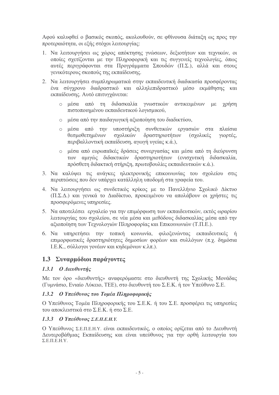Αφού καλυφθεί ο βασικός σκοπός, ακολουθούν, σε φθίνουσα διάταξη ως προς την προτεραιότητα, οι εξής στόχοι λειτουργίας:

- 1. Να λειτουργήσει ως χώρος απόκτησης γνώσεων, δεξιοτήτων και τεχνικών, οι οποίες σχετίζονται με την Πληροφορική και τις συγγενείς τεχνολογίες, όπως αυτές περιγράφονται στα Προγράμματα Σπουδών (Π.Σ.). αλλά και στους γενικότερους σκοπούς της εκπαίδευσης.
- 2. Να λειτουργήσει συμπληρωματικά στην εκπαιδευτική διαδικασία προσφέροντας ένα σύγχρονο διαδραστικό και αλληλεπιδραστικό μέσο εκμάθησης και εκπαίδευσης. Αυτό επιτυγχάνεται:
	- ο μέσα από τη διδασκαλία γνωστικών αντικειμένων με γρήση πιστοποιημένου εκπαιδευτικού λογισμικού,
	- ο μέσα από την παιδαγωγική αξιοποίηση του διαδικτύου,
	- ο μέσα από την υποστήριξη συνθετικών εργασιών στα πλαίσια θεσμοθετημένων σγολικών δραστηριοτήτων (σγολικές γιορτές. περιβαλλοντική εκπαίδευση, αγωγή υγείας κ.ά.),
	- ο μέσα από ευρωπαϊκές δράσεις συνεργασίας και μέσα από τη διεύρυνση των αμιγώς διδακτικών δραστηριοτήτων (ενισχυτική διδασκαλία, πρόσθετη διδακτική στήριξη, πρωτοβουλίες εκπαιδευτικών κ.ά.).
- 3. Να καλύψει τις ανάγκες ηλεκτρονικής επικοινωνίας του σχολείου στις περιπτώσεις που δεν υπάργει κατάλληλη υποδομή στα γραφεία του.
- 4. Να λειτουργήσει ως συνδετικός κρίκος με το Πανελλήνιο Σχολικό Δίκτυο (Π.Σ.Δ.) και γενικά το Διαδίκτυο, προκειμένου να απολάβουν οι γρήστες τις προσφερόμενες υπηρεσίες.
- 5. Να αποτελέσει εργαλείο για την επιμόρφωση των εκπαιδευτικών, εκτός ωραρίου λειτουργίας του σχολείου, σε νέα μέσα και μεθόδους διδασκαλίας μέσα από την αξιοποίηση των Τεχνολογιών Πληροφορίας και Επικοινωνιών (Τ.Π.Ε.).
- 6. Να υπηρετήσει την τοπική κοινωνία, φιλοξενώντας εκπαιδευτικές ή επιμορφωτικές δραστηριότητες δημοσίων φορέων και συλλόγων (π.χ. δημόσια Ι.Ε.Κ., σύλλογοι γονέων και κηδεμόνων κ.λπ.).

## 1.3 Συναρμόδιοι παράγοντες

#### 1.3.1  $0$  Διευθυντής

Με τον όρο «διευθυντής» αναφερόμαστε στο διευθυντή της Σχολικής Μονάδας (Γυμνάσιο, Ενιαίο Λύκειο, ΤΕΕ), στο διευθυντή του Σ.Ε.Κ. ή τον Υπεύθυνο Σ.Ε.

#### 1.3.2 Ο Υπεύθυνος του Τομέα Πληροφορικής

Ο Υπεύθυνος Τομέα Πληροφορικής του Σ.Ε.Κ. ή του Σ.Ε. προσφέρει τις υπηρεσίες του αποκλειστικά στο Σ.Ε.Κ. ή στο Σ.Ε.

#### 1.3.3 O Υπεύθυνος Σ.Ε.Π.Ε.Η.Υ.

Ο Υπεύθυνος Σ.Ε.Π.Ε.Η.Υ. είναι εκπαιδευτικός, ο οποίος ορίζεται από το Διευθυντή Δευτεροβάθμιας Εκπαίδευσης και είναι υπεύθυνος για την ορθή λειτουργία του  $\Sigma$ .E.II.E.H.Y.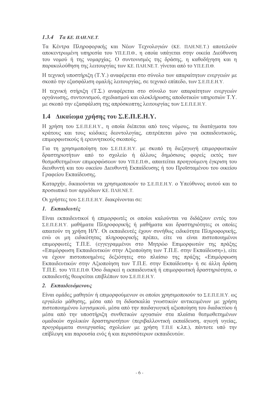#### 1.3.4 Ta KE,  $\pi$ AH, NE, T.

Τα Κέντρα Πληροφορικής και Νέων Τεχνολογιών (ΚΕ. ΠΛΗ.ΝΕ.Τ.) αποτελούν αποκεντρωμένη υπηρεσία του ΥΠ.Ε.Π.Θ., η οποία υπάγεται στην οικεία Διεύθυνση του νομού ή της νομαργίας. Ο συντονισμός της δράσης, η καθοδήγηση και η παρακολούθηση της λειτουργίας των ΚΕ. ΠΛΗ.ΝΕ.Τ. γίνεται από το ΥΠ.Ε.Π.Θ.

Η τεχνική υποστήριξη (Τ.Υ.) αναφέρεται στο σύνολο των απαραίτητων ενεργειών με σκοπό την εξασφάλιση ομαλής λειτουργίας, σε τεγνικό επίπεδο, των Σ.Ε.Π.Ε.Η.Υ.

Η τεχνική στήριξη (Τ.Σ.) αναφέρεται στο σύνολο των απαραίτητων ενεργειών οργάνωσης, συντονισμού, σχεδιασμού και ολοκλήρωσης αποδοτικών υπηρεσιών Τ.Υ. με σκοπό την εξασφάλιση της απρόσκοπτης λειτουργίας των Σ.Ε.Π.Ε.Η.Υ.

# 1.4 Δικαίωμα χρήσης του Σ.Ε.Π.Ε.Η.Υ.

Η γρήση του Σ.Ε.Π.Ε.Η.Υ., η οποία διέπεται από τους νόμους, τα διατάγματα του κράτους και τους κώδικες δεοντολογίας, επιτρέπεται μόνο για εκπαιδευτικούς, επιμορφωτικούς ή ερευνητικούς σκοπούς.

Για τη γρησιμοποίηση του Σ.Ε.Π.Ε.Η.Υ. με σκοπό τη διεξαγωγή επιμορφωτικών δραστηριοτήτων από το σχολείο ή άλλους δημόσιους φορείς εκτός των θεσμοθετημένων επιμορφώσεων του ΥΠ.Ε.Π.Θ., απαιτείται προηγούμενη έγκριση του διευθυντή και του οικείου Διευθυντή Εκπαίδευσης ή του Προϊσταμένου του οικείου Γραφείου Εκπαίδευσης.

Καταργήν, δικαιούνται να γρησιμοποιούν το Σ.Ε.Π.Ε.Η.Υ. ο Υπεύθυνος αυτού και το προσωπικό των αρμόδιων ΚΕ. ΠΛΗ.ΝΕ.Τ.

Οι χρήστες του Σ.Ε.Π.Ε.Η.Υ. διακρίνονται σε:

#### 1. Εκπαιδευτές

Είναι εκπαιδευτικοί ή επιμορφωτές οι οποίοι καλούνται να διδάξουν εντός του Σ.Ε.Π.Ε.Η.Υ. μαθήματα Πληροφορικής ή μαθήματα και δραστηριότητες οι οποίες απαιτούν τη χρήση Η/Υ. Οι εκπαιδευτές έχουν συνήθως ειδικότητα Πληροφορικής, ενώ οι μη ειδικότητας πληροφορικής πρέπει, είτε να είναι πιστοποιημένοι επιμορφωτές Τ.Π.Ε. (εγγεγραμμένοι στο Μητρώο Επιμορφωτών της πράξης «Επιμόρφωση Εκπαιδευτικών στην Αξιοποίηση των Τ.Π.Ε. στην Εκπαίδευση»), είτε να έχουν πιστοποιημένες δεξιότητες στο πλαίσιο της πράξης «Επιμόρφωση Εκπαιδευτικών στην Αξιοποίηση των Τ.Π.Ε. στην Εκπαίδευση» ή σε άλλη δράση Τ.Π.Ε. του ΥΠ.Ε.Π.Θ. Όσο διαρκεί η εκπαιδευτική ή επιμορφωτική δραστηριότητα, ο εκπαιδευτής θεωρείται επιβλέπων του Σ.Ε.Π.Ε.Η.Υ.

#### 2. Εκπαιδευόμενους

Είναι ομάδες μαθητών ή επιμορφούμενων οι οποίοι χρησιμοποιούν το Σ.Ε.Π.Ε.Η.Υ. ως εργαλείο μάθησης, μέσα από τη διδασκαλία γνωστικών αντικειμένων με γρήση πιστοποιημένου λογισμικού, μέσα από την παιδαγωγική αξιοποίηση του διαδικτύου ή μέσα από την υποστήριξη συνθετικών εργασιών στα πλαίσια θεσμοθετημένων ομαδικών σχολικών δραστηριοτήτων (περιβαλλοντική εκπαίδευση, αγωγή υγείας, προγράμματα συνεργασίας σχολείων με χρήση Τ.Π.Ε κ.λπ.), πάντοτε υπό την επίβλεψη και παρουσία ενός ή και περισσότερων εκπαιδευτών.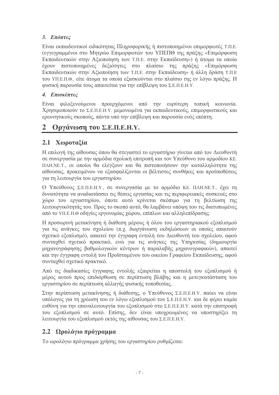# 3. Επόπτες

Είναι εκπαιδευτικοί ειδικότητας Πληροφορικής ή πιστοποιημένοι επιμορφωτές Τ.Π.Ε. (εγγεγραμμένοι στο Μητρώο Επιμορφωτών του ΥΠΕΠΘ της πράξης «Επιμόρφωση Εκπαιδευτικών στην Αξιοποίηση των Τ.Π.Ε. στην Εκπαίδευση») ή άτομα τα οποία έχουν πιστοποιημένες δεξιότητες στο πλαίσιο της πράξης «Επιμόρφωση Εκπαιδευτικών στην Αξιοποίηση των Τ.Π.Ε. στην Εκπαίδευση» ή άλλη δράση Τ.Π.Ε του ΥΠ.Ε.Π.Θ., είτε άτομα τα οποία εξασκούνται στο πλαίσιο της εν λόγω πράξης. Η φυσική παρουσία τους απαιτείται για την επίβλεψη του Σ.Ε.Π.Ε.Η.Υ.

## 4. Επισκέπτες

Είναι φιλοξενούμενοι προεργόμενοι από την ευρύτερη τοπική κοινωνία. Χρησιμοποιούν το Σ.Ε.Π.Ε.Η.Υ. μεμονωμένα για εκπαιδευτικούς, επιμορφωτικούς και ερευνητικούς σκοπούς, πάντα υπό την επίβλεψη και παρουσία ενός επόπτη.

# 2 Οργάνωση του Σ.Ε.Π.Ε.Η.Υ.

# 2.1 Χωροταξία

Η επιλογή της αίθουσας όπου θα στεγαστεί το εργαστήριο γίνεται από τον Διευθυντή σε συνεργασία με την αρμόδια σχολική επιτροπή και τον Υπεύθυνο του αρμοδίου ΚΕ. ΠΛΗ.ΝΕ.Τ., οι οποίοι θα ελέγξουν και θα πιστοποιήσουν την καταλληλότητα της αίθουσας, προκειμένου να εξασφαλίζονται οι βέλτιστες συνθήκες και προϋποθέσεις για τη λειτουργία του εργαστηρίου.

Ο Υπεύθυνος Σ.Ε.Π.Ε.Η.Υ., σε συνεργασία με το αρμόδιο ΚΕ. ΠΛΗ.ΝΕ.Τ., έγει τη δυνατότητα να αναδιατάσσει τις θέσεις εργασίας και τις περιφερειακές συσκευές στο γώρο του εργαστηρίου, όποτε αυτό κρίνεται σκόπιμο για τη βελτίωση της λειτουργικότητάς του. Προς το σκοπό αυτό, θα λαμβάνει υπόψη του τις διατυπωμένες από το ΥΠ.Ε.Π.Θ οδηγίες εργονομίας γώρου, επίπλων και αλληλεπίδρασης.

Η προσωρινή μετακίνηση ή διάθεση μέρους ή όλου του εργαστηριακού εξοπλισμού για τις ανάγκες του σγολείου (π.γ. διοργάνωση εκδηλώσεων οι οποίες απαιτούν σγετικό εξοπλισμό), απαιτεί την έγγραφη εντολή του Διευθυντή του σγολείου, αφού συνταχθεί σχετικό πρακτικό, ενώ για τις ανάγκες της Υπηρεσίας (δημιουργία μηχανογράφησης βαθμολογικών κέντρων ή παραλαβής μηχανογραφικών), απαιτεί και την έγγραφη εντολή του Προϊσταμένου του οικείου Γραφείου Εκπαίδευσης, αφού συνταχθεί σχετικό πρακτικό.

Από τις διαδικασίες έγγραφης εντολής εξαιρείται η αποστολή του εξοπλισμού ή μέρος αυτού προς επιδιόρθωση σε περίπτωση βλάβης και η μετεγκατάσταση του εργαστηρίου σε περίπτωση αλλαγής φυσικής τοποθεσίας.

Στην περίπτωση μετακίνησης ή διάθεσης, ο Υπεύθυνος Σ.Ε.Π.Ε.Η.Υ. παύει να είναι υπόλογος για τη γρέωση του εν λόγω εξοπλισμού του Σ.Ε.Π.Ε.Η.Υ. και δε φέρει καμία ευθύνη για την επαναλειτουργία του εξοπλισμού στο Σ.Ε.Π.Ε.Η.Υ. κατά την επιστροφή του εξοπλισμού σε αυτό. Επίσης, δεν είναι υποχρεωμένος να υποστηρίξει τη λειτουργία του εξοπλισμού εκτός της αίθουσας του Σ.Ε.Π.Ε.Η.Υ.

# 2.2 Ωρολόγιο πρόγραμμα

Το ωρολόγιο πρόγραμμα γρήσης του εργαστηρίου ρυθμίζεται: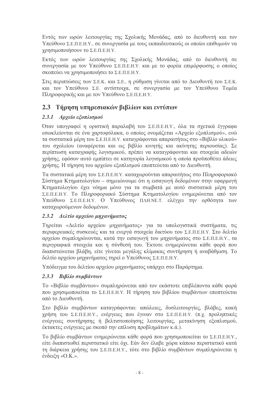Εντός των ωρών λειτουργίας της Σχολικής Μονάδας, από το διευθυντή και τον Υπεύθυνο Σ.Ε.Π.Ε.Η.Υ., σε συνεργασία με τους εκπαιδευτικούς οι οποίοι επιθυμούν να γρησιμοποιήσουν το Σ.Ε.Π.Ε.Η.Υ.

Εκτός των ωρών λειτουργίας της Σχολικής Μονάδας, από το διευθυντή σε συνεργασία με τον Υπεύθυνο Σ.Ε.Π.Ε.Η.Υ. και με το φορέα επιμόρφωσης ο οποίος σκοπεύει να γρησιμοποιήσει το Σ.Ε.Π.Ε.Η.Υ.

Στις περιπτώσεις των Σ.Ε.Κ. και Σ.Ε., η ρύθμιση γίνεται από το Διευθυντή του Σ.Ε.Κ. και τον Υπεύθυνο Σ.Ε. αντίστοιχα, σε συνεργασία με τον Υπεύθυνο Τομέα Πληροφορικής και με τον Υπεύθυνο Σ.Ε.Π.Ε.Η.Υ.

# 2.3 Τήρηση υπηρεσιακών βιβλίων και εντύπων

## 2.3.1 Αρχείο εξοπλισμού

Όταν υπογραφεί η οριστική παραλαβή του Σ.Ε.Π.Ε.Η.Υ., όλα τα σγετικά έγγραφα εσωκλείονται σε ένα γαρτοφύλακα, ο οποίος ονομάζεται «Αργείο εξοπλισμού», ενώ τα συστατικά μέρη του Σ.Ε.Π.Ε.Η.Υ. καταγράφονται απαραιτήτως στο «Βιβλίο υλικού» του σχολείου (αναφέρεται και ως βιβλίο κινητής και ακίνητης περιουσίας). Σε περίπτωση καταγραφής λογισμικού, πρέπει να καταγράφονται και στοιγεία αδειών γρήσης, εφόσον αυτό εμπίπτει σε κατηγορία λογισμικού η οποία προϋποθέτει άδειες χρήσης. Η τήρηση του αρχείου εξοπλισμού εποπτεύεται από το Διευθυντή.

Τα συστατικά μέρη του Σ.Ε.Π.Ε.Η.Υ. καταχωρούνται απαραιτήτως στο Πληροφοριακό Σύστημα Κτηματολογίου - σημειώνουμε ότι η εισαγωγή δεδομένων στην εφαρμογή Κτηματολογίου έγει νόημα μόνο για τα συμβατά με αυτό συστατικά μέρη του Σ.Ε.Π.Ε.Η.Υ. Το Πληροφοριακό Σύστημα Κτηματολογίου ενημερώνεται από τον Υπεύθυνο Σ.Ε.Π.Ε.Η.Υ. Ο Υπεύθυνος ΠΛΗ.ΝΕ.Τ. ελέγχει την ορθότητα των καταχωρούμενων δεδομένων.

## 2.3.2 Δελτίο αρχείου μηχανήματος

Tηρείται «Δελτίο αρχείου μηχανήματος» για τα υπολογιστικά συστήματα, τις περιφερειακές συσκευές και τα ενεργά στοιχεία δικτύου του Σ.Ε.Π.Ε.Η.Υ. Στο δελτίο αρχείου συμπληρώνονται, κατά την εισαγωγή του μηχανήματος στο Σ.Ε.Π.Ε.Η.Υ., τα περιγραφικά στοιχεία και η σύνθεσή του. Έκτοτε ενημερώνεται κάθε φορά που διαπιστώνεται βλάβη, είτε γίνεται μεγάλης κλίμακας συντήρηση ή αναβάθμιση. Το δελτίο αρχείου μηχανήματος τηρεί ο Υπεύθυνος Σ.Ε.Π.Ε.Η.Υ.

Υπόδειγμα του δελτίου αργείου μηγανήματος υπάργει στο Παράρτημα.

## 2.3.3 Βιβλίο συμβάντων

Το «Βιβλίο συμβάντων» συμπληρώνεται από τον εκάστοτε επιβλέποντα κάθε φορά που χρησιμοποιείται το Σ.Ε.Π.Ε.Η.Υ. Η τήρηση του βιβλίου συμβάντων εποπτεύεται από το Διευθυντή.

Στο βιβλίο συμβάντων καταγράφονται: απώλειες, δυσλειτουργίες, βλάβες, κακή γρήση του Σ.Ε.Π.Ε.Η.Υ., ενέργειες που έγιναν στο Σ.Ε.Π.Ε.Η.Υ. (π.γ. προληπτικές ενέργειες συντήρησης ή βελτιστοποίησης λειτουργίας, μετακίνηση εξοπλισμού, έκτακτες ενέργειες με σκοπό την επίλυση προβλημάτων κ.ά.).

Το βιβλίο συμβάντων ενημερώνεται κάθε φορά που γρησιμοποιείται το Σ.Ε.Π.Ε.Η.Υ., είτε διαπιστωθεί περιστατικό είτε όχι. Εάν δεν έλαβε γώρα κάποιο περιστατικό κατά τη διάρκεια χρήσης του Σ.Ε.Π.Ε.Η.Υ., τότε στο βιβλίο συμβάντων συμπληρώνεται η ένδειξη «Ο.Κ.».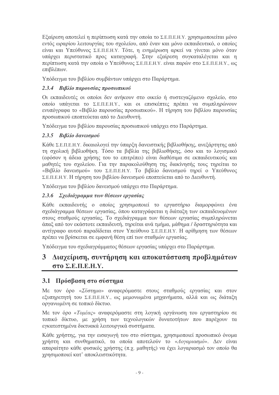Εξαίρεση αποτελεί η περίπτωση κατά την οποία το Σ.Ε.Π.Ε.Η.Υ. χρησιμοποιείται μόνο εντός ωραρίου λειτουργίας του σχολείου, από έναν και μόνο εκπαιδευτικό, ο οποίος είναι και Υπεύθυνος Σ.Ε.Π.Ε.Η.Υ. Τότε, η ενημέρωση αρκεί να γίνεται μόνο όταν υπάργει περιστατικό προς καταγραφή. Στην εξαίρεση συγκαταλέγεται και η περίπτωση κατά την οποία ο Υπεύθυνος Σ.Ε.Π.Ε.Η.Υ. είναι παρών στο Σ.Ε.Π.Ε.Η.Υ., ως επιβλέπων.

Υπόδειγμα του βιβλίου συμβάντων υπάρχει στο Παράρτημα.

## 2.3.4 Βιβλίο παρουσίας προσωπικού

Οι εκπαιδευτές οι οποίοι δεν ανήκουν στο οικείο ή συστεγαζόμενο σχολείο, στο οποίο υπάνεται το Σ.Ε.Π.Ε.Η.Υ., και οι επισκέπτες πρέπει να συμπληρώνουν ενυπόγραφα το «Βιβλίο παρουσίας προσωπικού». Η τήρηση του βιβλίου παρουσίας προσωπικού εποπτεύεται από το Διευθυντή.

Υπόδειγμα του βιβλίου παρουσίας προσωπικού υπάρχει στο Παράρτημα.

#### 2.3.5 Βιβλίο δανεισμού

Κάθε Σ.Ε.Π.Ε.Η.Υ. δικαιολογεί την ύπαρξη δανειστικής βιβλιοθήκης, ανεξάρτητης από τη σχολική βιβλιοθήκη. Τόσο τα βιβλία της βιβλιοθήκης, όσο και το λονισμικό (εφόσον η άδεια γρήσης του το επιτρέπει) είναι διαθέσιμα σε εκπαιδευτικούς και μαθητές του σχολείου. Για την παρακολούθηση της διακίνησής τους τηρείται το «Βιβλίο δανεισμού» του Σ.Ε.Π.Ε.Η.Υ. Το βιβλίο δανεισμού τηρεί ο Υπεύθυνος Σ.Ε.Π.Ε.Η.Υ. Η τήρηση του βιβλίου δανεισμού εποπτεύεται από το Διευθυντή.

Υπόδειγμα του βιβλίου δανεισμού υπάρχει στο Παράρτημα.

## 2.3.6 Σχεδιάγραμμα των θέσεων εργασίας

Κάθε εκπαιδευτής ο οποίος χρησιμοποιεί το εργαστήριο διαμορφώνει ένα σχεδιάγραμμα θέσεων εργασίας, όπου καταγράφεται η διάταξη των εκπαιδευομένων στους σταθμούς εργασίας. Το σχεδιάγραμμα των θέσεων εργασίας συμπληρώνεται άπαξ από τον εκάστοτε εκπαιδευτή, τηρείται ανά τμήμα, μάθημα / δραστηριότητα και αντίγραφο αυτού παραδίδεται στον Υπεύθυνο Σ.Ε.Π.Ε.Η.Υ. Η αρίθμηση των θέσεων πρέπει να βρίσκεται σε εμφανή θέση επί των σταθμών εργασίας.

Υπόδειγμα του σγεδιαγράμματος θέσεων εργασίας υπάργει στο Παράρτημα.

# 3 Διαχείριση, συντήρηση και αποκατάσταση προβλημάτων  $\sigma \tau 0$   $\Sigma$ .E.II.E.H.Y.

# 3.1 Πρόσβαση στο σύστημα

Με τον όρο «*Σύστημα»* αναφερόμαστε στους σταθμούς ερνασίας και στον εξυπηρετητή του Σ.Ε.Π.Ε.Η.Υ., ως μεμονωμένα μηχανήματα, αλλά και ως διάταξη οργανωμένη σε τοπικό δίκτυο.

Με τον όρο «Τομέας» αναφερόμαστε στη λογική οργάνωση του εργαστηρίου σε τοπικό δίκτυο, με χρήση των τεχνολογικών δυνατοτήτων που παρέχουν τα εγκατεστημένα δικτυακά λειτουργικά συστήματα.

Κάθε χρήστης, για την εισαγωγή του στο σύστημα, χρησιμοποιεί προσωπικό όνομα γρήστη και συνθηματικό, τα οποία αποτελούν το «Λογαριασμό». Δεν είναι απαραίτητο κάθε φυσικός χρήστης (π.χ. μαθητής) να έχει λογαριασμό τον οποίο θα γρησιμοποιεί κατ' αποκλειστικότητα.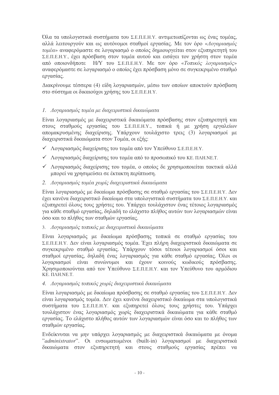Όλα τα υπολογιστικά συστήματα του Σ.Ε.Π.Ε.Η.Υ. αντιμετωπίζονται ως ένας τομέας, αλλά λειτουργούν και ως αυτόνομοι σταθμοί εργασίας. Με τον όρο «Λογαριασμός τομέα» αναφερόμαστε σε λογαριασμό ο οποίος δημιουργείται στον εξυπηρετητή του Σ.Ε.Π.Ε.Η.Υ., έγει πρόσβαση στον τομέα αυτού και εισάγει τον γρήστη στον τομέα από οποιονδήποτε H/Y του Σ.Ε.Π.Ε.Η.Υ. Με τον όρο «Τοπικός λογαριασμός» αναφερόμαστε σε λογαριασμό ο οποίος έγει πρόσβαση μόνο σε συγκεκριμένο σταθμό εργασίας.

Διακρίνουμε τέσσερα (4) είδη λογαριασμών, μέσω των οποίων αποκτούν πρόσβαση στο σύστημα οι δικαιούχοι χρήσης του Σ.Ε.Π.Ε.Η.Υ.

#### 1. Λογαριασμός τομέα με διαγειριστικά δικαιώματα

Είναι λογαριασμός με διαχειριστικά δικαιώματα πρόσβασης στον εξυπηρετητή και στους σταθμούς εργασίας του Σ.Ε.Π.Ε.Η.Υ., τοπικά ή με χρήση εργαλείων απομακρυσμένης διαχείρισης. Υπάρχουν τουλάχιστο τρεις (3) λογαριασμοί με διαχειριστικά δικαιώματα στον Τομέα, οι εξής:

- ν Λογαριασμός διαγείρισης του τομέα από τον Υπεύθυνο Σ.Ε.Π.Ε.Η.Υ.
- $\checkmark$  Λογαριασμός διαγείρισης του τομέα από το προσωπικό του ΚΕ. ΠΛΗ.ΝΕ.Τ.
- ν Λογαριασμός διαγείρισης του τομέα, ο οποίος δε γρησιμοποιείται τακτικά αλλά μπορεί να γρησιμεύσει σε έκτακτη περίπτωση.
- 2. Λογαριασμός τομέα χωρίς διαχειριστικά δικαιώματα

Είναι λογαριασμός με δικαίωμα πρόσβασης σε σταθμό εργασίας του Σ.Ε.Π.Ε.Η.Υ. Δεν έγει κανένα διαγειριστικό δικαίωμα στα υπολογιστικά συστήματα του Σ.Ε.Π.Ε.Η.Υ. και εξυπηρετεί όλους τους χρήστες του. Υπάρχει τουλάχιστον ένας τέτοιος λογαριασμός για κάθε σταθμό εργασίας, δηλαδή το ελάχιστο πλήθος αυτών των λογαριασμών είναι όσο και το πλήθος των σταθμών εργασίας.

3. Λογαριασμός τοπικός με διαχειριστικά δικαιώματα

Είναι λογαριασμός με δικαίωμα πρόσβασης τοπικά σε σταθμό εργασίας του Σ.Ε.Π.Ε.Η.Υ. Δεν είναι λογαριασμός τομέα. Έχει πλήρη διαχειριστικά δικαιώματα σε συγκεκριμένο σταθμό εργασίας. Υπάρχουν τόσοι τέτοιοι λογαριασμοί όσοι και σταθμοί εργασίας, δηλαδή ένας λογαριασμός για κάθε σταθμό εργασίας. Όλοι οι λογαριασμοί είναι συνώνυμοι και έχουν κοινούς κωδικούς πρόσβασης. Χρησιμοποιούνται από τον Υπεύθυνο Σ.Ε.Π.Ε.Η.Υ. και τον Υπεύθυνο του αρμόδιου KE. TAH.NE.T.

#### 4. Λογαριασμός τοπικός χωρίς διαχειριστικά δικαιώματα

Είναι λογαριασμός με δικαίωμα πρόσβασης σε σταθμό εργασίας του Σ.Ε.Π.Ε.Η.Υ. Δεν είναι λογαριασμός τομέα. Δεν έχει κανένα διαχειριστικό δικαίωμα στα υπολογιστικά συστήματα του Σ.Ε.Π.Ε.Η.Υ. και εξυπηρετεί όλους τους χρήστες του. Υπάρχει τουλάγιστον ένας λογαριασμός γωρίς διαγειριστικά δικαιώματα για κάθε σταθμό εργασίας. Το ελάχιστο πλήθος αυτών των λογαριασμών είναι όσο και το πλήθος των σταθμών εργασίας.

Ενδείκνυται να μην υπάρχει λογαριασμός με διαχειριστικά δικαιώματα με όνομα "administrator". Οι ενσωματωμένοι (built-in) λογαριασμοί με διαχειριστικά δικαιώματα στον εξυπηρετητή και στους σταθμούς εργασίας πρέπει να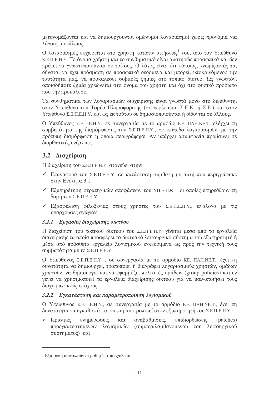μετονομάζονται και να δημιουργούνται ομώνυμοι λογαριασμοί χωρίς προνόμια για λόγους ασφάλειας.

Ο λογαριασμός εκχωρείται στο χρήστη κατόπιν αιτήσεως<sup>1</sup> του, από τον Υπεύθυνο Σ.Ε.Π.Ε.Η.Υ. Το όνομα γρήστη και το συνθηματικό είναι αυστηρώς προσωπικά και δεν πρέπει να γνωστοποιούνται σε τρίτους. Ο λόγος είναι ότι κάποιος, γνωρίζοντάς τα, δύναται να έχει πρόσβαση σε προσωπικά δεδομένα και μπορεί, υποκρινόμενος την ταυτότητά μας, να προκαλέσει σοβαρές ζημίες στο τοπικό δίκτυο. Ως γνωστόν, οποιαδήποτε ζημία γρεώνεται στο όνομα του γρήστη και όγι στο φυσικό πρόσωπο που την προκάλεσε.

Τα συνθηματικά των λογαριασμών διαγείρισης είναι γνωστά μόνο στο διευθυντή. στον Υπεύθυνο του Τομέα Πληροφορικής (σε περίπτωση Σ.Ε.Κ. ή Σ.Ε.) και στον Υπεύθυνο Σ.Ε.Π.Ε.Η.Υ. και ως εκ τούτου δε δημοσιοποιούνται ή δίδονται σε άλλους.

Ο Υπεύθυνος Σ.Ε.Π.Ε.Η.Υ. σε συνεργασία με το αρμόδιο ΚΕ. ΠΛΗ.ΝΕ.Τ. ελέγγει τη συμβατότητα της διαμόρφωσης του Σ.Ε.Π.Ε.Η.Υ., σε επίπεδο λογαριασμών, με την πρότυπη διαμόρφωση η οποία περιγράφηκε. Αν υπάργει ασυμφωνία προβαίνει σε διορθωτικές ενέργειες.

# 3.2 Διαχείριση

Η διαχείριση του Σ.Ε.Π.Ε.Η.Υ. στοχεύει στην:

- ν Επαναφορά του Σ.Ε.Π.Ε.Η.Υ. σε κατάσταση συμβατή με αυτή που περιγράφηκε στην Ενότητα 3.1.
- v Εξυπηρέτηση στρατηγικών αποφάσεων του ΥΠ.Ε.Π.Θ., οι οποίες επηρεάζουν τη δομή του Σ.Ε.Π.Ε.Η.Υ.
- v Εξασφάλιση φιλοξενίας στους χρήστες του Σ.Ε.Π.Ε.Η.Υ., ανάλογα με τις υπάρχουσες ανάγκες.

## 3.2.1 Εργασίες διαχείρισης δικτύου

Η διαγείριση του τοπικού δικτύου του Σ.Ε.Π.Ε.Η.Υ. γίνεται μέσα από τα εργαλεία διαχείρισης τα οποία προσφέρει το δικτυακό λειτουργικό σύστημα του εξυπηρετητή ή μέσα από πρόσθετα εργαλεία λογισμικού εγκεκριμένα ως προς την τεγνική τους συμβατότητα με το Σ.Ε.Π.Ε.Η.Υ.

Ο Υπεύθυνος Σ.Ε.Π.Ε.Η.Υ., σε συνεργασία με το αρμόδιο ΚΕ. ΠΛΗ.ΝΕ.Τ., έχει τη δυνατότητα να δημιουργεί, τροποποιεί ή διαγράφει λογαριασμούς χρηστών, ομάδων γρηστών, να δημιουργεί και να εφαρμόζει πολιτικές ομάδων (group policies) και εν γένει να χρησιμοποιεί τα εργαλεία διαχείρισης δικτύου για να ικανοποιήσει τους διαγειριστικούς στόγους.

## 3.2.2 Εγκατάσταση και παραμετροποίηση λογισμικού

Ο Υπεύθυνος Σ.Ε.Π.Ε.Η.Υ., σε συνεργασία με το αρμόδιο ΚΕ. ΠΛΗ.ΝΕ.Τ., έχει τη δυνατότητα να ενκαθιστά και να παραμετροποιεί στον εξυπηρετητή του Σ.Ε.Π.Ε.Η.Υ.:

 $\checkmark$  Kpíouec ενημερώσεις και αναβαθμίσεις, επιδιορθώσεις (patches) προεγκατεστημένων λογισμικών (συμπεριλαμβανομένου του λειτουργικού συστήματος) και

<sup>&</sup>lt;sup>1</sup> Εξαίρεση αποτελούν οι μαθητές του σχολείου.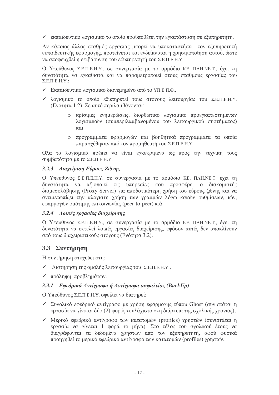• εκπαιδευτικό λογισμικό το οποίο προϋποθέτει την εγκατάσταση σε εξυπηρετητή.

Αν κάποιος άλλος σταθμός εργασίας μπορεί να υποκαταστήσει τον εξυπηρετητή εκπαιδευτικής εφαρμογής, προτείνεται και ενδείκνυται η χρησιμοποίηση αυτού, ώστε να αποφευχθεί η επιβάρυνση του εξυπηρετητή του Σ.Ε.Π.Ε.Η.Υ.

Ο Υπεύθυνος Σ.Ε.Π.Ε.Η.Υ., σε συνεργασία με το αρμόδιο ΚΕ. ΠΛΗ.ΝΕ.Τ., έχει τη δυνατότητα να εγκαθιστά και να παραμετροποιεί στους σταθμούς εργασίας του  $\Sigma$ .E.II.E.H.Y.:

- ► Εκπαιδευτικό λογισμικό διανεμημένο από το ΥΠ.Ε.Π.Θ.,
- ν λογισμικό το οποίο εξυπηρετεί τους στόχους λειτουργίας του Σ.Ε.Π.Ε.Η.Υ. (Ενότητα 1.2). Σε αυτό περιλαμβάνονται:
	- ο κρίσιμες ενημερώσεις, διορθωτικό λογισμικό προεγκατεστημένων λογισμικών (συμπεριλαμβανομένου του λειτουργικού συστήματος)  $K(1)$
	- · προγράμματα εφαρμογών και βοηθητικά προγράμματα τα οποία παρασγέθηκαν από τον προμηθευτή του Σ.Ε.Π.Ε.Η.Υ.

Όλα τα λογισμικά πρέπει να είναι εγκεκριμένα ως προς την τεχνική τους συμβατότητα με το Σ.Ε.Π.Ε.Η.Υ.

#### 3.2.3 Διαχείριση Εύρους Ζώνης

Ο Υπεύθυνος Σ.Ε.Π.Ε.Η.Υ. σε συνεργασία με το αρμόδιο ΚΕ. ΠΛΗ.ΝΕ.Τ. έχει τη δυνατότητα να αξιοποιεί τις υπηρεσίες που προσφέρει ο διακομιστής διαμεσολάβησης (Proxy Server) για αποδοτικότερη χρήση του εύρους ζώνης και να αντιμετωπίζει την αλόγιστη χρήση των γραμμών λόγω κακών ρυθμίσεων, ιών, εφαρμογών ομότιμης επικοινωνίας (peer-to-peer) κ.ά.

#### 3.2.4 Λοιπές εργασίες διαχείρισης

Ο Υπεύθυνος Σ.Ε.Π.Ε.Η.Υ., σε συνεργασία με το αρμόδιο ΚΕ. ΠΛΗ.ΝΕ.Τ., έχει τη δυνατότητα να εκτελεί λοιπές εργασίες διαχείρισης, εφόσον αυτές δεν αποκλίνουν από τους διαγειριστικούς στόγους (Ενότητα 3.2).

## 3.3 Συντήρηση

Η συντήρηση στοχεύει στη:

- ν Διατήρηση της ομαλής λειτουργίας του Σ.Ε.Π.Ε.Η.Υ.,
- ν πρόληψη προβλημάτων.

#### 3.3.1 Εφεδρικά Αντίγραφα ή Αντίγραφα ασφαλείας (BackUp)

Ο Υπεύθυνος Σ.Ε.Π.Ε.Η.Υ. οφείλει να διατηρεί:

- V Συνολικό εφεδρικό αντίγραφο με χρήση εφαρμογής τύπου Ghost (συνιστάται η εργασία να γίνεται δύο (2) φορές τουλάγιστο στη διάρκεια της σγολικής γρονιάς),
- V Μερικό εφεδρικό αντίγραφο των κατατομών (profiles) χρηστών (συνιστάται η εργασία να γίνεται 1 φορά το μήνα). Στο τέλος του σχολικού έτους να διαγράφονται τα δεδομένα γρηστών από τον εξυπηρετητή, αφού φυσικά προηγηθεί το μερικό εφεδρικό αντίγραφο των κατατομών (profiles) χρηστών.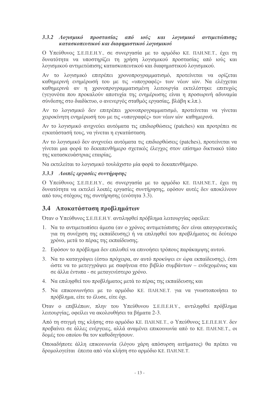#### 3.3.2 Λογισμικό προστασίας από ιούς και λογισμικό αντιμετώπισης κατασκοπευτικού και διαφημιστικού λογισμικού

Ο Υπεύθυνος Σ.Ε.Π.Ε.Η.Υ., σε συνεργασία με το αρμόδιο ΚΕ. ΠΛΗ.ΝΕ.Τ., έχει τη δυνατότητα να υποστηρίζει τη γρήση λογισμικού προστασίας από ιούς και λογισμικού αντιμετώπισης κατασκοπευτικού και διαφημιστικού λογισμικού.

Αν το λογισμικό επιτρέπει χρονοπρογραμματισμό, προτείνεται να ορίζεται καθημερινή ενημέρωσή του με τις «υπογραφές» των νέων ιών. Να ελέγχεται καθημερινά αν η χρονοπρογραμματισμένη λειτουργία εκτελέστηκε επιτυχώς (γεγονότα που προκαλούν αποτυγία της ενημέρωσης είναι η προσωρινή αδυναμία σύνδεσης στο διαδίκτυο, ο ανενεργός σταθμός εργασίας, βλάβη κ.λπ.).

Αν το λογισμικό δεν επιτρέπει χρονοπρογραμματισμό, προτείνεται να γίνεται γειροκίνητη ενημέρωσή του με τις «υπογραφές» των νέων ιών καθημερινά.

Αν το λογισμικό ανιχνεύει αυτόματα τις επιδιορθώσεις (patches) και προτρέπει σε εγκατάστασή τους, να γίνεται η εγκατάσταση.

Αν το λογισμικό δεν ανιγνεύει αυτόματα τις επιδιορθώσεις (patches), προτείνεται να γίνεται μια φορά το δεκαπενθήμερο σγετικός έλεγγος στον επίσημο δικτυακό τόπο της κατασκευάστριας εταιρίας.

Να εκτελείται το λογισμικό τουλάχιστο μία φορά το δεκαπενθήμερο.

#### 3.3.3 Λοιπές εργασίες συντήρησης

Ο Υπεύθυνος Σ.Ε.Π.Ε.Η.Υ., σε συνεργασία με το αρμόδιο ΚΕ, ΠΛΗ.ΝΕ.Τ., έγει τη δυνατότητα να εκτελεί λοιπές εργασίες συντήρησης, εφόσον αυτές δεν αποκλίνουν από τους στόγους της συντήρησης (ενότητα 3.3).

## 3.4 Αποκατάσταση προβλημάτων

Όταν ο Υπεύθυνος Σ.Ε.Π.Ε.Η.Υ. αντιληφθεί πρόβλημα λειτουργίας οφείλει:

- 1. Να το αντιμετωπίσει άμεσα (αν ο χρόνος αντιμετώπισης δεν είναι απαγορευτικός για τη συνέγιση της εκπαίδευσης) ή να επιληφθεί του προβλήματος σε δεύτερο γρόνο, μετά το πέρας της εκπαίδευσης.
- 2. Εφόσον το πρόβλημα δεν επιλυθεί να επινοήσει τρόπους παράκαμψης αυτού.
- 3. Να το καταγράψει (έστω πρόχειρα, αν αυτό προκύψει εν ώρα εκπαίδευσης), έτσι ώστε να το μετεγγράψει με σαφήνεια στο βιβλίο συμβάντων – ενδεχομένως και σε άλλα έντυπα - σε μεταγενέστερο γρόνο.
- 4. Να επιληφθεί του προβλήματος μετά το πέρας της εκπαίδευσης και
- 5. Να επικοινωνήσει με το αρμόδιο ΚΕ. ΠΛΗ.ΝΕ.Τ. για να γνωστοποιήσει το πρόβλημα, είτε το έλυσε, είτε όγι.

Όταν ο επιβλέπων, πλην του Υπεύθυνου Σ.Ε.Π.Ε.Η.Υ., αντιληφθεί πρόβλημα λειτουργίας, οφείλει να ακολουθήσει τα βήματα 2-3.

Από τη στιγμή της κλήσης στο αρμόδιο ΚΕ. ΠΛΗ.ΝΕ.Τ., ο Υπεύθυνος Σ.Ε.Π.Ε.Η.Υ. δεν προβαίνει σε άλλες ενέργειες, αλλά αναμένει επικοινωνία από το ΚΕ. ΠΛΗ.ΝΕ.Τ., οι δομές του οποίου θα τον καθοδηγήσουν.

Οποιαδήποτε άλλη επικοινωνία (λόγου χάρη απόσυρση αιτήματος) θα πρέπει να δρομολογείται έπειτα από νέα κλήση στο αρμόδιο ΚΕ. ΠΛΗ.ΝΕ.Τ.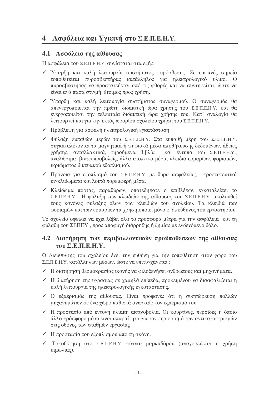# 4 Ασφάλεια και Υγιεινή στο Σ.Ε.Π.Ε.Η.Υ.

#### 4.1 Ασφάλεια της αίθουσας

Η ασφάλεια του Σ.Ε.Π.Ε.Η.Υ. συνίσταται στα εξής:

- ν Υπαρξη και καλή λειτουργία συστήματος πυρόσβεσης. Σε εμφανές σημείο τοποθετείται πυροσβεστήρας κατάλληλος για ηλεκτρολογικό υλικό. Ο πυροσβεστήρας να προστατεύεται από τις φθορές και να συντηρείται, ώστε να είναι ανά πάσα στιγμή έτοιμος προς γρήση.
- ν Υπαρξη και καλή λειτουργία συστήματος συναγερμού. Ο συναγερμός θα απενεργοποιείται την πρώτη διδακτική ώρα χρήσης του Σ.Ε.Π.Ε.Η.Υ. και θα ενεργοποιείται την τελευταία διδακτική ώρα χρήσης του. Κατ' αναλογία θα λειτουργεί και για την εκτός ωραρίου σχολείου χρήση του Σ.Ε.Π.Ε.Η.Υ.
- ν Πρόβλεψη για ασφαλή ηλεκτρολογική εγκατάσταση.
- ν Φύλαξη ευπαθών μερών του Σ.Ε.Π.Ε.Η.Υ. Στα ευπαθή μέρη του Σ.Ε.Π.Ε.Η.Υ. συγκαταλέγονται τα μαγνητικά ή ψηφιακά μέσα αποθήκευσης δεδομένων, άδειες γρήσης, ανταλλακτικά, τηρούμενα βιβλία και έντυπα του Σ.Ε.Π.Ε.Η.Υ., αναλώσιμα, βιντεοπροβολείς, άλλα εποπτικά μέσα, κλειδιά ερμαρίων, φοριαμών, ικριώματος δικτυακού εξοπλισμού.
- V Πρόνοια για εξοπλισμό του Σ.Ε.Π.Ε.Η.Υ. με θύρα ασφαλείας, προστατευτικά κιγκλιδώματα και λοιπά παρεμφερή μέσα.
- ν Κλείδωμα πόρτας, παραθύρων, οποτεδήποτε ο επιβλέπων εγκαταλείπει το Σ.Ε.Π.Ε.Η.Υ. Η φύλαξη των κλειδιών της αίθουσας του Σ.Ε.Π.Ε.Η.Υ. ακολουθεί τους κανόνες φύλαξης όλων των κλειδιών του σχολείου. Τα κλειδιά των φοριαμών και των ερμαρίων τα γρησιμοποιεί μόνο ο Υπεύθυνος του εργαστηρίου.

Το σγολείο οφείλει να έγει λάβει όλα τα πρόσφορα μέτρα για την ασφάλεια και τη φύλαξη του ΣΕΠΕΥ, προς αποφυγή διάρρηξης ή ζημίας με ενδεχόμενο δόλο.

#### 4.2 Διατήρηση των περιβαλλοντικών προϋποθέσεων της αίθουσας  $\tau$ <sub>0</sub>  $\Sigma$ , **E**, **H**, **E**, **H**, **Y**,

Ο Διευθυντής του σχολείου έχει την ευθύνη για την τοποθέτηση στον χώρο του Σ.Ε.Π.Ε.Η.Υ. κατάλληλων μέσων, ώστε να επιτυγχάνεται:

- Η διατήρηση θερμοκρασίας ικανής να φιλοξενήσει ανθρώπους και μηγανήματα.
- Η διατήρηση της υγρασίας σε χαμηλά επίπεδα, προκειμένου να διασφαλίζεται η καλή λειτουργία της ηλεκτρολογικής εγκατάστασης.
- v Ο εξαερισμός της αίθουσας. Είναι προφανές ότι η συσσώρευση πολλών μηγανημάτων σε ένα γώρο καθιστά αναγκαίο τον εξαερισμό του.
- √ Η προστασία από έντονη ηλιακή ακτινοβολία. Οι κουρτίνες, περσίδες ή όποιο άλλο πρόσφορο μέσο είναι απαραίτητο για τον περιορισμό των αντικατοπτρισμών στις οθόνες των σταθμών εργασίας.
- Η προστασία του εξοπλισμού από τη σκόνη.
- ν Τοποθέτηση στο Σ.Ε.Π.Ε.Η.Υ. πίνακα μαρκαδόρου (απαγορεύεται η χρήση κιμωλίας).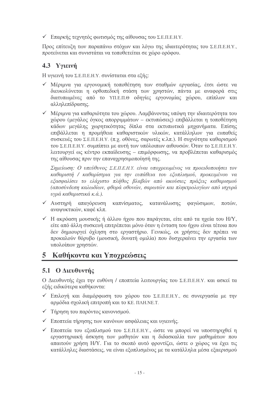ν Επαρκής τεχνητός φωτισμός της αίθουσας του Σ.Ε.Π.Ε.Η.Υ.

Προς επίτευξη των παραπάνω στόχων και λόγω της ιδιαιτερότητας του Σ.Ε.Π.Ε.Η.Υ., προτείνεται και συνιστάται να τοποθετείται σε χώρο ορόφου.

# 4.3 Υγιεινή

Η υγιεινή του Σ.Ε.Π.Ε.Η.Υ. συνίσταται στα εξής:

- ν Μέριμνα για εργονομική τοποθέτηση των σταθμών εργασίας, έτσι ώστε να διευκολύνεται η ορθοπεδική στάση των χρηστών, πάντα με αναφορά στις διατυπωμένες από το ΥΠ.Ε.Π.Θ οδηγίες εργονομίας χώρου, επίπλων και αλληλεπίδρασης.
- ν Μέριμνα για καθαριότητα του γώρου. Λαμβάνοντας υπόψη την ιδιαιτερότητα του χώρου (μεγάλος όγκος απορριμμάτων - εκτυπώσεις) επιβάλλεται η τοποθέτηση κάδων μεγάλης γωρητικότητας δίπλα στα εκτυπωτικά μηγανήματα. Επίσης επιβάλλεται η προμήθεια καθαριστικών υλικών, κατάλληλων για ευπαθείς συσκευές του Σ.Ε.Π.Ε.Η.Υ. (π.χ. οθόνες, σαρωτές κ.λπ.). Η συχνότητα καθαρισμού του Σ.Ε.Π.Ε.Η.Υ. συμπίπτει με αυτή των υπόλοιπων αιθουσών. Όταν το Σ.Ε.Π.Ε.Η.Υ. λειτουργεί ως κέντρο εκπαίδευσης - επιμόρφωσης, να προβλέπεται καθαρισμός της αίθουσας πριν την επαναγρησιμοποίησή της.

Σημείωση: Ο υπεύθυνος Σ.Ε.Π.Ε.Η.Υ. είναι υπογρεωμένος να προειδοποιήσει τον καθαριστή / καθαρίστρια για την ευπάθεια του εξοπλισμού, προκειμένου να εξασφαλίσει το ελάχιστο πλήθος βλαβών από ακούσιες πράξεις καθαρισμού (αποσύνδεση καλωδίων, φθορά οθονών, σαρωτών και πληκτρολογίων από ισχυρά υγρά καθαριστικά κ.ά.).

- $\sqrt{A}$   $\alpha$ απαγόρευση καπνίσματος, κατανάλωσης φαγώσιμων, ποτών. ανανυκτικών, καφέ κλπ.
- $\checkmark$  H ακρόαση μουσικής ή άλλου ήγου που παράγεται, είτε από τα ηγεία του H/Y, είτε από άλλη συσκευή επιτρέπεται μόνο όταν η ένταση του ήχου είναι τέτοια που δεν δημιουργεί όγληση στο εργαστήριο. Γενικώς, οι γρήστες δεν πρέπει να προκαλούν θόρυβο (μουσική, δυνατή ομιλία) που δυσχεραίνει την εργασία των υπολοίπων γρηστών.

# 5 Καθήκοντα και Υπογρεώσεις

## 5.1 Ο Διευθυντής

Ο Διευθυντής έγει την ευθύνη / εποπτεία λειτουργίας του Σ.Ε.Π.Ε.Η.Υ. και ασκεί τα εξής ειδικότερα καθήκοντα:

- ν Επιλογή και διαμόρφωση του γώρου του Σ.Ε.Π.Ε.Η.Υ., σε συνεργασία με την αρμόδια σγολική επιτροπή και το ΚΕ. ΠΛΗ.ΝΕ.Τ.
- V Τήρηση του παρόντος κανονισμού.
- ► Εποπτεία τήρησης των κανόνων ασφάλειας και υγιεινής.
- ν Εποπτεία του εξοπλισμού του Σ.Ε.Π.Ε.Η.Υ., ώστε να μπορεί να υποστηριγθεί η εργαστηριακή άσκηση των μαθητών και η διδασκαλία των μαθημάτων που απαιτούν γρήση Η/Υ. Για το σκοπό αυτό φροντίζει, ώστε ο χώρος να έχει τις κατάλληλες διαστάσεις, να είναι εξοπλισμένος με τα κατάλληλα μέσα εξαερισμού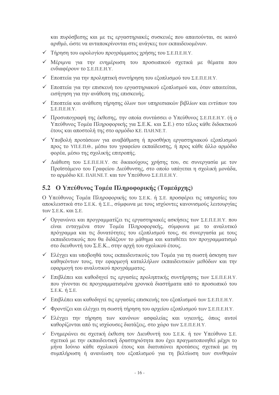και πυρόσβεσης και με τις εργαστηριακές συσκευές που απαιτούνται, σε ικανό αριθμό, ώστε να ανταποκρίνονται στις ανάγκες των εκπαιδευομένων.

- V Τήρηση του ωρολογίου προγράμματος χρήσης του Σ.Ε.Π.Ε.Η.Υ.
- V Μέριμνα για την ενημέρωση του προσωπικού σχετικά με θέματα που ενδιαφέρουν το Σ.Ε.Π.Ε.Η.Υ.
- ► Εποπτεία για την προληπτική συντήρηση του εξοπλισμού του Σ.Ε.Π.Ε.Η.Υ.
- v Εποπτεία για την επισκευή του εργαστηριακού εξοπλισμού και, όταν απαιτείται, εισήγηση για την ανάθεση της επισκευής.
- ν Εποπτεία και ανάθεση τήρησης όλων των υπηρεσιακών βιβλίων και εντύπων του  $\Sigma$ .E.II.E.H.Y.
- V Προσυπογραφή της έκθεσης, την οποία συντάσσει ο Υπεύθυνος Σ.Ε.Π.Ε.Η.Υ. (ή ο Υπεύθυνος Τομέα Πληροφορικής για Σ.Ε.Κ. και Σ.Ε.) στο τέλος κάθε διδακτικού έτους και αποστολή της στο αρμόδιο ΚΕ. ΠΛΗ.ΝΕ.Τ.
- ν Υποβολή προτάσεων για αναβάθμιση ή προσθήκη εργαστηριακού εξοπλισμού προς το ΥΠ.Ε.Π.Θ., μέσω του γραφείου εκπαίδευσης, ή προς κάθε άλλο αρμόδιο φορέα, μέσω της σχολικής επιτροπής.
- ν Διάθεση του Σ.Ε.Π.Ε.Η.Υ. σε δικαιούχους χρήσης του, σε συνεργασία με τον Προϊστάμενο του Γραφείου Διεύθυνσης, στο οποίο υπάγεται η σχολική μονάδα, το αρμόδιο ΚΕ. ΠΛΗ.ΝΕ.Τ. και τον Υπεύθυνο Σ.Ε.Π.Ε.Η.Υ.

## 5.2 Ο Υπεύθυνος Τομέα Πληροφορικής (Τομεάργης)

Ο Υπεύθυνος Τομέα Πληροφορικής του Σ.Ε.Κ. ή Σ.Ε. προσφέρει τις υπηρεσίες του αποκλειστικά στο Σ.Ε.Κ. ή Σ.Ε., σύμφωνα με τους ισγύοντες κανονισμούς λειτουργίας των Σ.Ε.Κ. και Σ.Ε.

- v Οργανώνει και προγραμματίζει τις εργαστηριακές ασκήσεις των Σ.Ε.Π.Ε.Η.Υ. που είναι ενταγμένα στον Τομέα Πληροφορικής, σύμφωνα με το αναλυτικό πρόγραμμα και τις δυνατότητες του εξοπλισμού τους, σε συνεργασία με τους εκπαιδευτικούς που θα διδάξουν το μάθημα και καταθέτει τον προγραμματισμό στο διευθυντή του Σ.Ε.Κ., στην αρχή του σχολικού έτους.
- v Ελέγγει και υποβοηθά τους εκπαιδευτικούς του Τομέα για τη σωστή άσκηση των καθηκόντων τους, την εφαρμογή καταλλήλων εκπαιδευτικών μεθόδων και την εφαρμογή του αναλυτικού προγράμματος.
- v Επιβλέπει και καθοδηγεί τις εργασίες προληπτικής συντήρησης των Σ.Ε.Π.Ε.Η.Υ. που γίνονται σε προγραμματισμένα χρονικά διαστήματα από το προσωπικό του  $\Sigma.E.K. \nightharpoonup \Sigma.E.$
- ν Επιβλέπει και καθοδηγεί τις εργασίες επισκευής του εξοπλισμού των Σ.Ε.Π.Ε.Η.Υ.
- v Φροντίζει και ελέγχει τη σωστή τήρηση του αρχείου εξοπλισμού των Σ.Ε.Π.Ε.Η.Υ.
- ν Ελέγγει την τήρηση των κανόνων ασφαλείας και υγιεινής, όπως αυτοί καθορίζονται από τις ισχύουσες διατάξεις, στο χώρο των Σ.Ε.Π.Ε.Η.Υ.
- ν Ενημερώνει σε σχετική έκθεση τον Διευθυντή του Σ.Ε.Κ. ή τον Υπεύθυνο Σ.Ε. σχετικά με την εκπαιδευτική δραστηριότητα που έχει πραγματοποιηθεί μέχρι το μήνα Ιούνιο κάθε σχολικού έτους και διατυπώνει προτάσεις σχετικά με τη συμπλήρωση ή ανανέωση του εξοπλισμού για τη βελτίωση των συνθηκών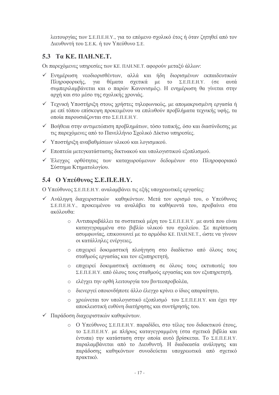λειτουργίας των Σ.Ε.Π.Ε.Η.Υ., για το επόμενο σχολικό έτος ή όταν ζητηθεί από τον Διευθυντή του Σ.Ε.Κ. ή τον Υπεύθυνο Σ.Ε.

# 5.3  $Ta$  KE,  $\overline{IAH}$ , NE, T.

Οι παρεχόμενες υπηρεσίες των ΚΕ. ΠΛΗ.ΝΕ.Τ. αφορούν μεταξύ άλλων:

- v Ενημέρωση νεοδιορισθέντων, αλλά και ήδη διορισμένων εκπαιδευτικών για θέματα σχετικά με το Σ.Ε.Π.Ε.Η.Υ. (σε αυτά Πληροφορικής, συμπεριλαμβάνεται και ο παρών Κανονισμός). Η ενημέρωση θα γίνεται στην αρχή και στο μέσο της σχολικής χρονιάς.
- ν Τεχνική Υποστήριξη στους χρήστες τηλεφωνικώς, με απομακρυσμένη εργασία ή με επί τόπου επίσκεψη προκειμένου να επιλυθούν προβλήματα τεγνικής υφής, τα οποία παρουσιάζονται στο Σ.Ε.Π.Ε.Η.Υ.
- ν Βοήθεια στην αντιμετώπιση προβλημάτων, τόσο τοπικής, όσο και διασύνδεσης με τις παρεγόμενες από το Πανελλήνιο Σγολικό Δίκτυο υπηρεσίες.
- ν Υποστήριξη αναβαθμίσεων υλικού και λογισμικού.
- ν Εποπτεία μετεγκατάστασης δικτυακού και υπολογιστικού εξοπλισμού.
- ν Έλεγχος ορθότητας των καταχωρούμενων δεδομένων στο Πληροφοριακό Σύστημα Κτηματολογίου.

## 5.4 Ο Υπεύθυνος Σ.Ε.Π.Ε.Η.Υ.

Ο Υπεύθυνος Σ.Ε.Π.Ε.Η.Υ. αναλαμβάνει τις εξής υποχρεωτικές εργασίες:

- ν Ανάληψη διαχειριστικών καθηκόντων. Μετά τον ορισμό του, ο Υπεύθυνος Σ.Ε.Π.Ε.Η.Υ., προκειμένου να αναλάβει τα καθήκοντά του, προβαίνει στα ακόλουθα:
	- ο Αντιπαραβάλλει τα συστατικά μέρη του Σ.Ε.Π.Ε.Η.Υ. με αυτά που είναι καταγεγραμμένα στο βιβλίο υλικού του σχολείου. Σε περίπτωση ασυμφωνίας, επικοινωνεί με το αρμόδιο ΚΕ. ΠΛΗ.ΝΕ.Τ., ώστε να γίνουν οι κατάλληλες ενέργειες.
	- ο επιχειρεί δοκιμαστική πλοήγηση στο διαδίκτυο από όλους τους σταθμούς εργασίας και τον εξυπηρετητή,
	- ο επιχειρεί δοκιμαστική εκτύπωση σε όλους τους εκτυπωτές του Σ.Ε.Π.Ε.Η.Υ. από όλους τους σταθμούς εργασίας και τον εξυπηρετητή,
	- ο ελέγχει την ορθή λειτουργία του βιντεοπροβολέα,
	- · διενεργεί οποιονδήποτε άλλο έλεγγο κρίνει ο ίδιος απαραίτητο.
	- ο χρεώνεται τον υπολογιστικό εξοπλισμό του Σ.Ε.Π.Ε.Η.Υ. και έχει την αποκλειστική ευθύνη διατήρησης και συντήρησής του.
- ν Παράδοση διαγειριστικών καθηκόντων.
	- ο Ο Υπεύθυνος Σ.Ε.Π.Ε.Η.Υ. παραδίδει, στο τέλος του διδακτικού έτους, το Σ.Ε.Π.Ε.Η.Υ. με πλήρως κατανενραμμένη (στα σγετικά βιβλία και έντυπα) την κατάσταση στην οποία αυτό βρίσκεται. Το Σ.Ε.Π.Ε.Η.Υ. παραλαμβάνεται από το Διευθυντή. Η διαδικασία ανάληψης και παράδοσης καθηκόντων συνοδεύεται υποχρεωτικά από σχετικό πρακτικό.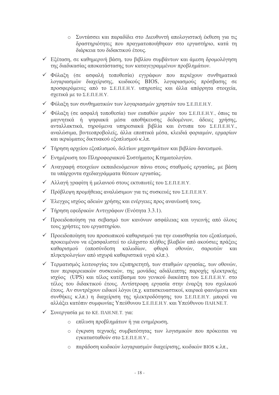- ο Συντάσσει και παραδίδει στο Διευθυντή απολογιστική έκθεση για τις δραστηριότητες που πραγματοποιήθηκαν στο εργαστήριο, κατά τη διάρκεια του διδακτικού έτους.
- ν Εξέταση, σε καθημερινή βάση, του βιβλίου συμβάντων και άμεση δρομολόγηση της διαδικασίας αποκατάστασης των καταγεγραμμένων προβλημάτων.
- ν Φύλαξη (σε ασφαλή τοποθεσία) εγγράφων που περιέχουν συνθηματικά λογαριασμών διαχείρισης, κωδικούς BIOS, λογαριασμούς πρόσβασης σε προσφερόμενες από το Σ.Ε.Π.Ε.Η.Υ. υπηρεσίες και άλλα απόρρητα στοιχεία, σχετικά με το Σ.Ε.Π.Ε.Η.Υ.
- ν Φύλαξη των συνθηματικών των λογαριασμών γρηστών του Σ.Ε.Π.Ε.Η.Υ.
- ν Φύλαξη (σε ασφαλή τοποθεσία) των ευπαθών μερών του Σ.Ε.Π.Ε.Η.Υ., όπως τα μαγνητικά ή ψηφιακά μέσα αποθήκευσης δεδομένων, άδειες χρήσης, ανταλλακτικά, τηρούμενα υπηρεσιακά βιβλία και έντυπα του Σ.Ε.Π.Ε.Η.Υ., αναλώσιμα, βιντεοπροβολείς, άλλα εποπτικά μέσα, κλειδιά φοριαμών, ερμαρίων και ικριώματος δικτυακού εξοπλισμού κ.λπ.
- ν Τήρηση αργείου εξοπλισμού, δελτίων μηγανημάτων και βιβλίου δανεισμού.
- ► Evnuέρωση του Πληροφοριακού Συστήματος Κτηματολογίου.
- ν Αναγραφή στοιχείων εκπαιδευόμενων πάνω στους σταθμούς εργασίας, με βάση τα υπάργοντα σγεδιαγράμματα θέσεων εργασίας.
- ► Αλλαγή γραφίτη ή μελανιού στους εκτυπωτές του Σ.Ε.Π.Ε.Η.Υ.
- V Πρόβλεψη προμήθειας αναλώσιμων για τις συσκευές του Σ.Ε.Π.Ε.Η.Υ.
- ν Έλεγγος ισγύος αδειών γρήσης και ενέργειες προς ανανέωσή τους.
- ν Τήρηση εφεδρικών Αντιγράφων (Ενότητα 3.3.1).
- ν Προειδοποίηση για σεβασμό των κανόνων ασφάλειας και υγιεινής από όλους τους γρήστες του εργαστηρίου.
- ν Προειδοποίηση του προσωπικού καθαρισμού για την ευαισθησία του εξοπλισμού, προκειμένου να εξασφαλιστεί το ελάχιστο πλήθος βλαβών από ακούσιες πράξεις (αποσύνδεση καλωδίων, φθορά οθονών, καθαρισμού σαρωτών και πληκτρολογίων από ισγυρά καθαριστικά υγρά κλπ.).
- ν Τερματισμός λειτουργίας του εξυπηρετητή, των σταθμών εργασίας, των οθονών, των περιφερειακών συσκευών, της μονάδας αδιάλειπτης παρογής ηλεκτρικής ισγύος (UPS) και τέλος κατέβασμα του γενικού διακόπτη του Σ.Ε.Π.Ε.Η.Υ. στο τέλος του διδακτικού έτους. Αντίστροφη εργασία στην έναρξη του σχολικού έτους. Αν συντρέγουν ειδικοί λόγοι (π.γ. κατασκευαστικοί, καιρικά φαινόμενα και συνθήκες κ.λπ.) η διαχείριση της ηλεκτροδότησης του Σ.Ε.Π.Ε.Η.Υ. μπορεί να αλλάξει κατόπιν συμφωνίας Υπεύθυνου Σ.Ε.Π.Ε.Η.Υ. και Υπεύθυνου ΠΛΗ.ΝΕ.Τ.
- V Συνεργασία με το ΚΕ. ΠΛΗ.ΝΕ.Τ. για:
	- ο επίλυση προβλημάτων ή για ενημέρωση,
	- ο έγκριση τεχνικής συμβατότητας των λογισμικών που πρόκειται να εγκατασταθούν στο Σ.Ε.Π.Ε.Η.Υ.,
	- ο παράδοση κωδικών λογαριασμών διαγείρισης, κωδικών BIOS κ.λπ.,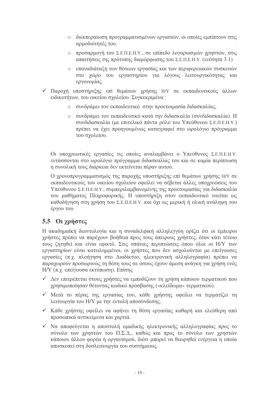- ο διεκπεραίωση προγραμματισμένων εργασιών, οι οποίες εμπίπτουν στις αρμοδιότητές του.
- ο προσαρμογή του Σ.Ε.Π.Ε.Η.Υ., σε επίπεδο λογαριασμών χρηστών, στις απαιτήσεις της πρότυπης διαμόρφωσης του Σ.Ε.Π.Ε.Η.Υ. (ενότητα 3.1)
- · επαναδιάταξη των θέσεων εργασίας και των περιφερειακών συσκευών στο χώρο του εργαστηρίου για λόγους λειτουργικότητας και εργονομίας.
- ν Παροχή υποστήριξης επί θεμάτων χρήσης Η/Υ σε εκπαιδευτικούς άλλων ειδικοτήτων, του οικείου σγολείου. Συγκεκριμένα:
	- · συνδράμει τον εκπαιδευτικό στην προετοιμασία διδασκαλίας.
	- · συνδράμει τον εκπαιδευτικό κατά την διδασκαλία (συνδιδασκαλία). Η συνδιδασκαλία (με επιτελικό πάντα ρόλο του Υπεύθυνου Σ.Ε.Π.Ε.Η.Υ.) πρέπει να έχει προηγουμένως καταγραφεί στο ωρολόγιο πρόγραμμα του σχολείου.

Οι υποχρεωτικές εργασίες τις οποίες αναλαμβάνει ο Υπεύθυνος Σ.Ε.Π.Ε.Η.Υ. εντάσσονται στο ωρολόγιο πρόγραμμα διδασκαλίας του και σε καμία περίπτωση η συνολική τους διάρκεια δεν εκτείνεται πέραν αυτού.

Ο χρονοπρογραμματισμός της παροχής υποστήριξης επί θεμάτων χρήσης Η/Υ σε εκπαιδευτικούς του οικείου σχολείου οφείλει να σέβεται άλλες υποχρεώσεις του Υπεύθυνου Σ.Ε.Π.Ε.Η.Υ., συμπεριλαμβανομένης της προετοιμασίας για διδασκαλία του μαθήματος Πληροφορικής. Η υποστήριξη στον εκπαιδευτικό νοείται ως καθοδήγηση στη χρήση του Σ.Ε.Π.Ε.Η.Υ. και όχι ως μερική ή ολική ανάληψη του έργου του.

# 5.5 Οι χρήστες

Η ακαδημαϊκή δεοντολογία και η συναδελφική αλληλεγγύη ορίζει ότι οι έμπειροι γρήστες πρέπει να παρέγουν βοήθεια προς τους άπειρους γρήστες, όταν κάτι τέτοιο τους ζητηθεί και είναι εφικτό. Στις σπάνιες περιπτώσεις όπου όλοι οι Η/Υ των εργαστηρίων είναι κατειλημμένοι, οι χρήστες που δεν ασχολούνται με επείγουσες εργασίες (π.χ. πλοήγηση στο Διαδίκτυο, ηλεκτρονική αλληλογραφία) πρέπει να παραχωρούν προσωρινώς τη θέση τους σε όσους έχουν άμεση ανάγκη για χρήση ενός Η/Υ (π.γ. επείνουσα εκτύπωση). Επίσης

- ν Δεν επιτρέπεται στους χρήστες να εμποδίζουν τη χρήση κάποιου τερματικού που γρησιμοποίησαν θέτοντας κωδικό πρόσβασης («κλείδωμα» τερματικού).
- ν Μετά το πέρας της εργασίας του, κάθε χρήστης οφείλει να τερματίζει τη λειτουργία του Η/Υ με την εντολή αποσύνδεσης.
- $\checkmark$  Κάθε γρήστης οφείλει να αφήνει τη θέση εργασίας καθαρή και ελεύθερη από προσωπικά αντικείμενα και γαρτιά.
- ν Να αποφεύγεται η αποστολή ομαδικής ηλεκτρονικής αλληλογραφίας προς το σύνολο των γρηστών του Π.Σ.Δ., καθώς και προς το σύνολο των γρηστών κάποιου άλλου φορέα ή οργανισμού, διότι μπορεί να θεωρηθεί ενέργεια η οποία αποσκοπεί στη δυσλειτουργία του συστήματος.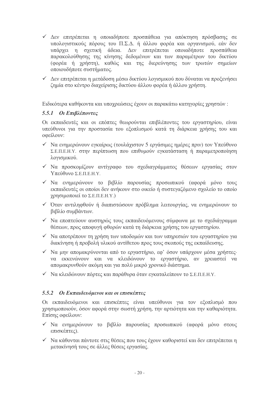- ν Δεν επιτρέπεται η οποιαδήποτε προσπάθεια για απόκτηση πρόσβασης σε υπολογιστικούς πόρους του Π.Σ.Δ. ή άλλου φορέα και οργανισμού, εάν δεν υπάρχει η σχετική άδεια. Δεν επιτρέπεται οποιαδήποτε προσπάθεια παρακολούθησης της κίνησης δεδομένων και των παραμέτρων του δικτύου (φορέα ή γρήστη), καθώς και της διερεύνησης των τρωτών σημείων οποιουδήποτε συστήματος.
- ν Δεν επιτρέπεται η μετάδοση μέσω δικτύου λογισμικού που δύναται να προξενήσει ζημία στο κέντρο διαχείρισης δικτύου άλλου φορέα ή άλλου χρήστη.

Ειδικότερα καθήκοντα και υπογρεώσεις έγουν οι παρακάτω κατηγορίες γρηστών:

#### 5.5.1 Οι Επιβλέποντες

Οι εκπαιδευτές και οι επόπτες θεωρούνται επιβλέποντες του εργαστηρίου, είναι υπεύθυνοι για την προστασία του εξοπλισμού κατά τη διάρκεια γρήσης του και οφείλουν:

- ν Να ενημερώνουν εγκαίρως (τουλάχιστον 5 εργάσιμες ημέρες πριν) τον Υπεύθυνο Σ.Ε.Π.Ε.Η.Υ. στην περίπτωση που επιθυμούν εγκατάσταση ή παραμετροποίηση λονισμικού.
- ν Να προσκομίζουν αντίγραφο του σγεδιαγράμματος θέσεων εργασίας στον Υπεύθυνο Σ.Ε.Π.Ε.Η.Υ.
- $\checkmark$  Να ενημερώνουν το βιβλίο παρουσίας προσωπικού (αφορά μόνο τους εκπαιδευτές οι οποίοι δεν ανήκουν στο οικείο ή συστεγαζόμενο σγολείο το οποίο γρησιμοποιεί το Σ.Ε.Π.Ε.Η.Υ.)
- ν Όταν αντιληφθούν ή διαπιστώσουν πρόβλημα λειτουργίας, να ενημερώνουν το βιβλίο συμβάντων.
- ν Να εποπτεύουν αυστηρώς τους εκπαιδευόμενους σύμφωνα με το σγεδιάγραμμα θέσεων, προς αποφυγή φθορών κατά τη διάρκεια χρήσης του εργαστηρίου.
- ν Να αποτρέπουν τη χρήση των υποδομών και των υπηρεσιών του εργαστηρίου για διακίνηση ή προβολή υλικού αντίθετου προς τους σκοπούς της εκπαίδευσης.
- ν Να μην απομακρύνονται από το εργαστήριο, εφ' όσον υπάρχουν μέσα χρήστες· να εκκενώνουν και να κλειδώνουν το εργαστήριο, αν χρειαστεί να απομακρυνθούν ακόμη και για πολύ μικρό γρονικό διάστημα.
- ν Να κλειδώνουν πόρτες και παράθυρα όταν εγκαταλείπουν το Σ.Ε.Π.Ε.Η.Υ.

#### 5.5.2 Οι Εκπαιδευόμενοι και οι επισκέπτες

Οι εκπαιδευόμενοι και επισκέπτες είναι υπεύθυνοι για τον εξοπλισμό που γρησιμοποιούν, όσον αφορά στην σωστή γρήση, την αρτιότητα και την καθαριότητα. Επίσης οφείλουν:

- ν Να ενημερώνουν το βιβλίο παρουσίας προσωπικού (αφορά μόνο στους επισκέπτες).
- ν Να κάθονται πάντοτε στις θέσεις που τους έχουν καθοριστεί και δεν επιτρέπεται η μετακίνησή τους σε άλλες θέσεις εργασίας.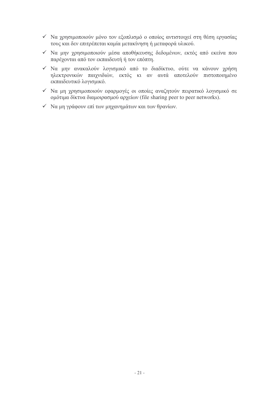- ν Να χρησιμοποιούν μόνο τον εξοπλισμό ο οποίος αντιστοιχεί στη θέση εργασίας τους και δεν επιτρέπεται καμία μετακίνηση ή μεταφορά υλικού.
- ν Να μην χρησιμοποιούν μέσα αποθήκευσης δεδομένων, εκτός από εκείνα που παρέγονται από τον εκπαιδευτή ή τον επόπτη.
- ν Να μην ανακαλούν λογισμικό από το διαδίκτυο, ούτε να κάνουν χρήση ηλεκτρονικών παιχνιδιών, εκτός κι αν αυτά αποτελούν πιστοποιημένο εκπαιδευτικό λογισμικό.
- ν Να μη χρησιμοποιούν εφαρμογές οι οποίες αναζητούν πειρατικό λογισμικό σε ομότιμα δίκτυα διαμοιρασμού αρχείων (file sharing peer to peer networks).
- √ Να μη γράφουν επί των μηγανημάτων και των θρανίων.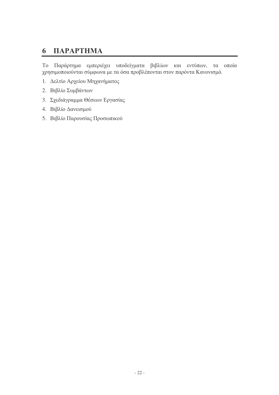#### ПАРАРТНМА 6

Το Παράρτημα εμπεριέχει υποδείγματα βιβλίων και εντύπων, τα οποία χρησιμοποιούνται σύμφωνα με τα όσα προβλέπονται στον παρόντα Κανονισμό.

- 1. Δελτίο Αρχείου Μηχανήματος
- 2. Βιβλίο Συμβάντων
- 3. Σχεδιάγραμμα Θέσεων Εργασίας
- 4. Βιβλίο Δανεισμού
- 5. Βιβλίο Παρουσίας Προσωπικού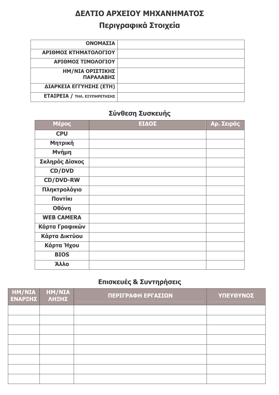# ΔΕΛΤΙΟ ΑΡΧΕΙΟΥ ΜΗΧΑΝΗΜΑΤΟΣ Περιγραφικά Στοιχεία

| <b><i>ΟΝΟΜΑΣΙΑ</i></b>              |  |
|-------------------------------------|--|
| ΑΡΙΘΜΟΣ ΚΤΗΜΑΤΟΛΟΓΙΟΥ               |  |
| ΑΡΙΘΜΟΣ ΤΙΜΟΛΟΓΙΟΥ                  |  |
| ΗΜ/ΝΙΑ ΟΡΙΣΤΙΚΗΣ<br>ΠΑΡΑΛΑΒΗΣ       |  |
| ΔΙΑΡΚΕΙΑ ΕΓΓΥΗΣΗΣ (ΕΤΗ)             |  |
| <b>ΕΤΑΙΡΕΙΑ / ΤΗΛ. ΕΞΥΠΗΡΕΤΗΣΗΣ</b> |  |

# Σύνθεση Συσκευής

| Μέρος             | ΕΙΔΟΣ | Αρ. Σειράς |
|-------------------|-------|------------|
| <b>CPU</b>        |       |            |
| Μητρική           |       |            |
| Μνήμη             |       |            |
| Σκληρός Δίσκος    |       |            |
| <b>CD/DVD</b>     |       |            |
| <b>CD/DVD-RW</b>  |       |            |
| Πληκτρολόγιο      |       |            |
| Поутікі           |       |            |
| Οθόνη             |       |            |
| <b>WEB CAMERA</b> |       |            |
| Κάρτα Γραφικών    |       |            |
| Κάρτα Δικτύου     |       |            |
| Κάρτα Ήχου        |       |            |
| <b>BIOS</b>       |       |            |
| Άλλο              |       |            |

# Επισκευές & Συντηρήσεις

| HM/NIA<br>ENAPEHZ | <b>HM/NIA</b> | ΠΕΡΙΓΡΑΦΗ ΕΡΓΑΣΙΩΝ | ΥΠΕΥΘΥΝΟΣ |
|-------------------|---------------|--------------------|-----------|
|                   |               |                    |           |
|                   |               |                    |           |
|                   |               |                    |           |
|                   |               |                    |           |
|                   |               |                    |           |
|                   |               |                    |           |
|                   |               |                    |           |
|                   |               |                    |           |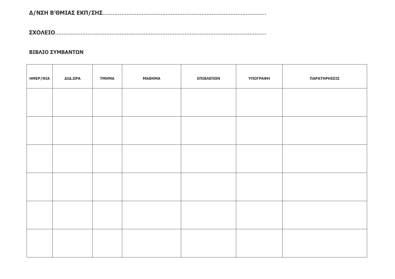#### ΒΙΒΛΙΟ ΣΥΜΒΑΝΤΩΝ

| <b>HMEP/NIA</b> | ΔΙΔ.ΩΡΑ | <b>TMHMA</b> | <b>МАӨНМА</b> | ΕΠΙΒΛΕΠΩΝ | ΥΠΟΓΡΑΦΗ | ΠΑΡΑΤΗΡΗΣΕΙΣ |
|-----------------|---------|--------------|---------------|-----------|----------|--------------|
|                 |         |              |               |           |          |              |
|                 |         |              |               |           |          |              |
|                 |         |              |               |           |          |              |
|                 |         |              |               |           |          |              |
|                 |         |              |               |           |          |              |
|                 |         |              |               |           |          |              |
|                 |         |              |               |           |          |              |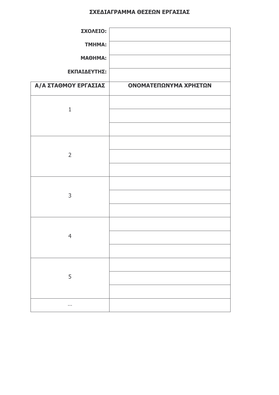#### ΣΧΕΔΙΑΓΡΑΜΜΑ ΘΕΣΕΩΝ ΕΡΓΑΣΙΑΣ

| ΣΧΟΛΕΙΟ:<br><b>TMHMA:</b><br>МАӨНМА:<br>ΕΚΠΑΙΔΕΥΤΗΣ: |                       |
|------------------------------------------------------|-----------------------|
| Α/Α ΣΤΑΘΜΟΥ ΕΡΓΑΣΙΑΣ                                 | ΟΝΟΜΑΤΕΠΩΝΥΜΑ ΧΡΗΣΤΩΝ |
| $\mathbf{1}$                                         |                       |
| $\overline{2}$                                       |                       |
| $\mathsf{3}$                                         |                       |
| $\overline{4}$                                       |                       |
| 5                                                    |                       |
| $\sim$                                               |                       |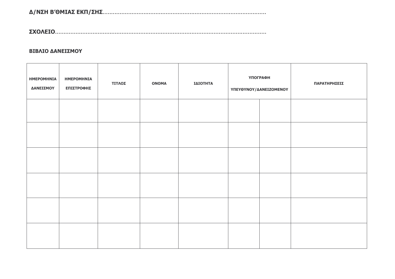#### ΒΙΒΛΙΟ ΔΑΝΕΙΣΜΟΥ

| <b>HMEPOMHNIA</b><br>ΔΑΝΕΙΣΜΟΥ | <b>HMEPOMHNIA</b><br>ΕΠΙΣΤΡΟΦΗΣ | ΤΙΤΛΟΣ | <b>ONOMA</b> | ΙΔΙΟΤΗΤΑ | <b>ҮПОГРАФН</b><br>ΥΠΕΥΘΥΝΟΥ/ΔΑΝΕΙΖΟΜΕΝΟΥ |  | ΠΑΡΑΤΗΡΗΣΕΙΣ |
|--------------------------------|---------------------------------|--------|--------------|----------|-------------------------------------------|--|--------------|
|                                |                                 |        |              |          |                                           |  |              |
|                                |                                 |        |              |          |                                           |  |              |
|                                |                                 |        |              |          |                                           |  |              |
|                                |                                 |        |              |          |                                           |  |              |
|                                |                                 |        |              |          |                                           |  |              |
|                                |                                 |        |              |          |                                           |  |              |